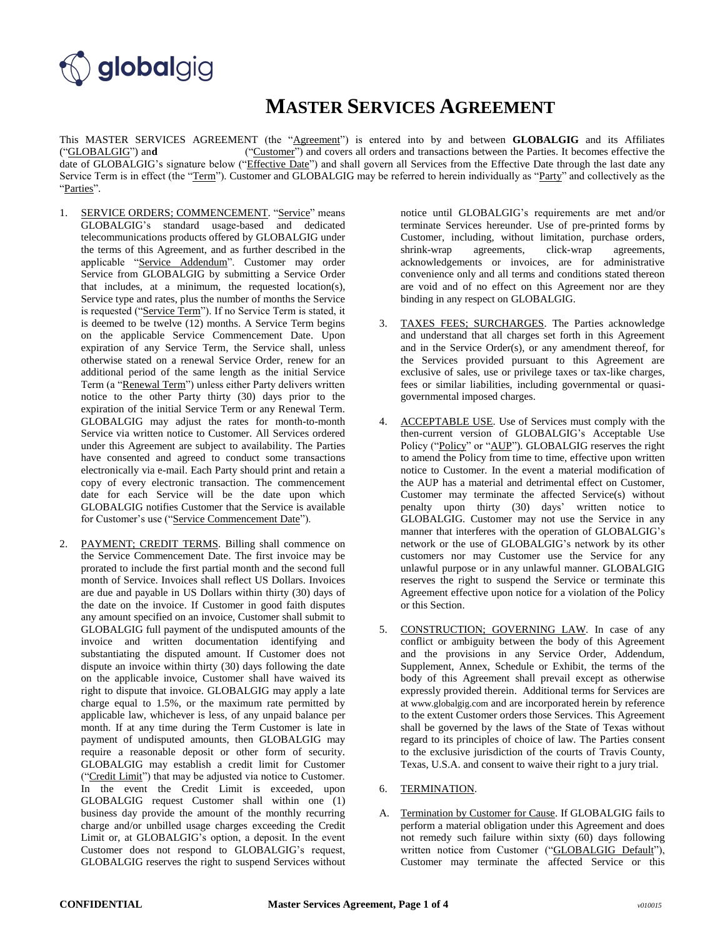

## **MASTER SERVICES AGREEMENT**

This MASTER SERVICES AGREEMENT (the "Agreement") is entered into by and between **GLOBALGIG** and its Affiliates ("GLOBALGIG") an**d** ("Customer") and covers all orders and transactions between the Parties. It becomes effective the date of GLOBALGIG's signature below ("Effective Date") and shall govern all Services from the Effective Date through the last date any Service Term is in effect (the "Term"). Customer and GLOBALGIG may be referred to herein individually as "Party" and collectively as the "Parties".

- 1. SERVICE ORDERS; COMMENCEMENT. "Service" means GLOBALGIG's standard usage-based and dedicated telecommunications products offered by GLOBALGIG under the terms of this Agreement, and as further described in the applicable "Service Addendum". Customer may order Service from GLOBALGIG by submitting a Service Order that includes, at a minimum, the requested location(s), Service type and rates, plus the number of months the Service is requested ("Service Term"). If no Service Term is stated, it is deemed to be twelve (12) months. A Service Term begins on the applicable Service Commencement Date. Upon expiration of any Service Term, the Service shall, unless otherwise stated on a renewal Service Order, renew for an additional period of the same length as the initial Service Term (a "Renewal Term") unless either Party delivers written notice to the other Party thirty (30) days prior to the expiration of the initial Service Term or any Renewal Term. GLOBALGIG may adjust the rates for month-to-month Service via written notice to Customer. All Services ordered under this Agreement are subject to availability. The Parties have consented and agreed to conduct some transactions electronically via e-mail. Each Party should print and retain a copy of every electronic transaction. The commencement date for each Service will be the date upon which GLOBALGIG notifies Customer that the Service is available for Customer's use ("Service Commencement Date").
- 2. PAYMENT; CREDIT TERMS. Billing shall commence on the Service Commencement Date. The first invoice may be prorated to include the first partial month and the second full month of Service. Invoices shall reflect US Dollars. Invoices are due and payable in US Dollars within thirty (30) days of the date on the invoice. If Customer in good faith disputes any amount specified on an invoice, Customer shall submit to GLOBALGIG full payment of the undisputed amounts of the invoice and written documentation identifying and substantiating the disputed amount. If Customer does not dispute an invoice within thirty (30) days following the date on the applicable invoice, Customer shall have waived its right to dispute that invoice. GLOBALGIG may apply a late charge equal to 1.5%, or the maximum rate permitted by applicable law, whichever is less, of any unpaid balance per month. If at any time during the Term Customer is late in payment of undisputed amounts, then GLOBALGIG may require a reasonable deposit or other form of security. GLOBALGIG may establish a credit limit for Customer ("Credit Limit") that may be adjusted via notice to Customer. In the event the Credit Limit is exceeded, upon GLOBALGIG request Customer shall within one (1) business day provide the amount of the monthly recurring charge and/or unbilled usage charges exceeding the Credit Limit or, at GLOBALGIG's option, a deposit. In the event Customer does not respond to GLOBALGIG's request, GLOBALGIG reserves the right to suspend Services without

notice until GLOBALGIG's requirements are met and/or terminate Services hereunder. Use of pre-printed forms by Customer, including, without limitation, purchase orders, shrink-wrap agreements, click-wrap agreements, acknowledgements or invoices, are for administrative convenience only and all terms and conditions stated thereon are void and of no effect on this Agreement nor are they binding in any respect on GLOBALGIG.

- 3. TAXES FEES; SURCHARGES. The Parties acknowledge and understand that all charges set forth in this Agreement and in the Service Order(s), or any amendment thereof, for the Services provided pursuant to this Agreement are exclusive of sales, use or privilege taxes or tax-like charges, fees or similar liabilities, including governmental or quasigovernmental imposed charges.
- 4. ACCEPTABLE USE. Use of Services must comply with the then-current version of GLOBALGIG's Acceptable Use Policy ("Policy" or "AUP"). GLOBALGIG reserves the right to amend the Policy from time to time, effective upon written notice to Customer. In the event a material modification of the AUP has a material and detrimental effect on Customer, Customer may terminate the affected Service(s) without penalty upon thirty (30) days' written notice to GLOBALGIG. Customer may not use the Service in any manner that interferes with the operation of GLOBALGIG's network or the use of GLOBALGIG's network by its other customers nor may Customer use the Service for any unlawful purpose or in any unlawful manner. GLOBALGIG reserves the right to suspend the Service or terminate this Agreement effective upon notice for a violation of the Policy or this Section.
- 5. CONSTRUCTION; GOVERNING LAW. In case of any conflict or ambiguity between the body of this Agreement and the provisions in any Service Order, Addendum, Supplement, Annex, Schedule or Exhibit, the terms of the body of this Agreement shall prevail except as otherwise expressly provided therein. Additional terms for Services are at www.globalgig.com and are incorporated herein by reference to the extent Customer orders those Services. This Agreement shall be governed by the laws of the State of Texas without regard to its principles of choice of law. The Parties consent to the exclusive jurisdiction of the courts of Travis County, Texas, U.S.A. and consent to waive their right to a jury trial.
- 6. TERMINATION.
- A. Termination by Customer for Cause. If GLOBALGIG fails to perform a material obligation under this Agreement and does not remedy such failure within sixty (60) days following written notice from Customer ("GLOBALGIG Default"), Customer may terminate the affected Service or this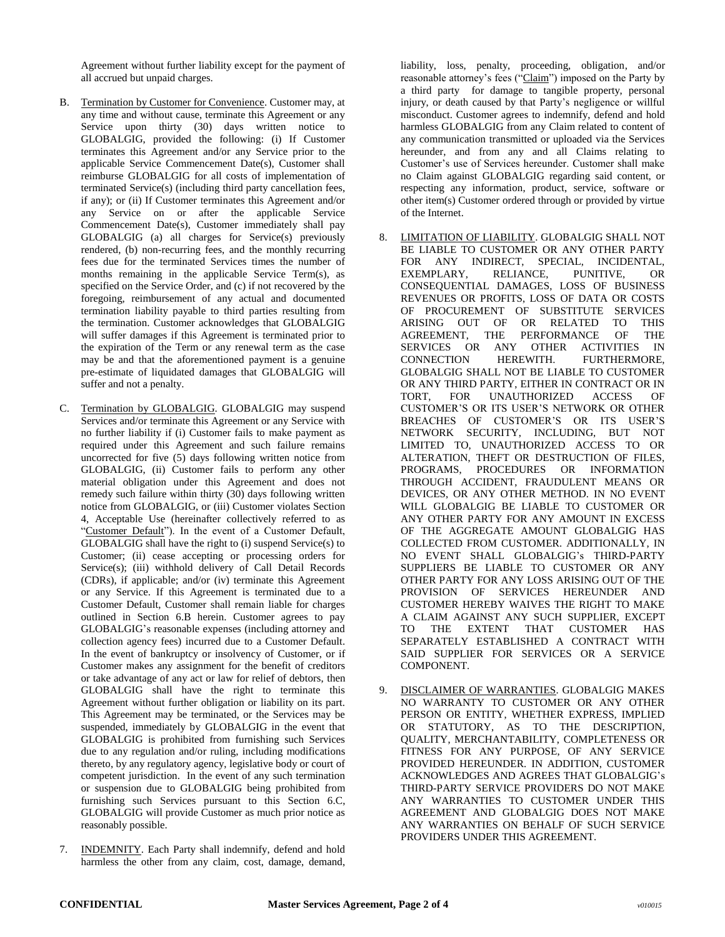Agreement without further liability except for the payment of all accrued but unpaid charges.

- B. Termination by Customer for Convenience. Customer may, at any time and without cause, terminate this Agreement or any Service upon thirty (30) days written notice to GLOBALGIG, provided the following: (i) If Customer terminates this Agreement and/or any Service prior to the applicable Service Commencement Date(s), Customer shall reimburse GLOBALGIG for all costs of implementation of terminated Service(s) (including third party cancellation fees, if any); or (ii) If Customer terminates this Agreement and/or any Service on or after the applicable Service Commencement Date(s), Customer immediately shall pay GLOBALGIG (a) all charges for Service(s) previously rendered, (b) non-recurring fees, and the monthly recurring fees due for the terminated Services times the number of months remaining in the applicable Service Term(s), as specified on the Service Order, and (c) if not recovered by the foregoing, reimbursement of any actual and documented termination liability payable to third parties resulting from the termination. Customer acknowledges that GLOBALGIG will suffer damages if this Agreement is terminated prior to the expiration of the Term or any renewal term as the case may be and that the aforementioned payment is a genuine pre-estimate of liquidated damages that GLOBALGIG will suffer and not a penalty.
- C. Termination by GLOBALGIG. GLOBALGIG may suspend Services and/or terminate this Agreement or any Service with no further liability if (i) Customer fails to make payment as required under this Agreement and such failure remains uncorrected for five (5) days following written notice from GLOBALGIG, (ii) Customer fails to perform any other material obligation under this Agreement and does not remedy such failure within thirty (30) days following written notice from GLOBALGIG, or (iii) Customer violates Section 4, Acceptable Use (hereinafter collectively referred to as "Customer Default"). In the event of a Customer Default, GLOBALGIG shall have the right to (i) suspend Service(s) to Customer; (ii) cease accepting or processing orders for Service(s); (iii) withhold delivery of Call Detail Records (CDRs), if applicable; and/or (iv) terminate this Agreement or any Service. If this Agreement is terminated due to a Customer Default, Customer shall remain liable for charges outlined in Section 6.B herein. Customer agrees to pay GLOBALGIG's reasonable expenses (including attorney and collection agency fees) incurred due to a Customer Default. In the event of bankruptcy or insolvency of Customer, or if Customer makes any assignment for the benefit of creditors or take advantage of any act or law for relief of debtors, then GLOBALGIG shall have the right to terminate this Agreement without further obligation or liability on its part. This Agreement may be terminated, or the Services may be suspended, immediately by GLOBALGIG in the event that GLOBALGIG is prohibited from furnishing such Services due to any regulation and/or ruling, including modifications thereto, by any regulatory agency, legislative body or court of competent jurisdiction. In the event of any such termination or suspension due to GLOBALGIG being prohibited from furnishing such Services pursuant to this Section 6.C, GLOBALGIG will provide Customer as much prior notice as reasonably possible.
- 7. INDEMNITY. Each Party shall indemnify, defend and hold harmless the other from any claim, cost, damage, demand,

liability, loss, penalty, proceeding, obligation, and/or reasonable attorney's fees ("Claim") imposed on the Party by a third party for damage to tangible property, personal injury, or death caused by that Party's negligence or willful misconduct. Customer agrees to indemnify, defend and hold harmless GLOBALGIG from any Claim related to content of any communication transmitted or uploaded via the Services hereunder, and from any and all Claims relating to Customer's use of Services hereunder. Customer shall make no Claim against GLOBALGIG regarding said content, or respecting any information, product, service, software or other item(s) Customer ordered through or provided by virtue of the Internet.

- 8. LIMITATION OF LIABILITY. GLOBALGIG SHALL NOT BE LIABLE TO CUSTOMER OR ANY OTHER PARTY FOR ANY INDIRECT, SPECIAL, INCIDENTAL, EXEMPLARY, RELIANCE, PUNITIVE, OR CONSEQUENTIAL DAMAGES, LOSS OF BUSINESS REVENUES OR PROFITS, LOSS OF DATA OR COSTS OF PROCUREMENT OF SUBSTITUTE SERVICES ARISING OUT OF OR RELATED TO THIS AGREEMENT, THE PERFORMANCE OF THE SERVICES OR ANY OTHER ACTIVITIES IN CONNECTION HEREWITH. FURTHERMORE, GLOBALGIG SHALL NOT BE LIABLE TO CUSTOMER OR ANY THIRD PARTY, EITHER IN CONTRACT OR IN TORT, FOR UNAUTHORIZED ACCESS OF CUSTOMER'S OR ITS USER'S NETWORK OR OTHER BREACHES OF CUSTOMER'S OR ITS USER'S NETWORK SECURITY, INCLUDING, BUT NOT LIMITED TO, UNAUTHORIZED ACCESS TO OR ALTERATION, THEFT OR DESTRUCTION OF FILES, PROGRAMS, PROCEDURES OR INFORMATION THROUGH ACCIDENT, FRAUDULENT MEANS OR DEVICES, OR ANY OTHER METHOD. IN NO EVENT WILL GLOBALGIG BE LIABLE TO CUSTOMER OR ANY OTHER PARTY FOR ANY AMOUNT IN EXCESS OF THE AGGREGATE AMOUNT GLOBALGIG HAS COLLECTED FROM CUSTOMER. ADDITIONALLY, IN NO EVENT SHALL GLOBALGIG's THIRD-PARTY SUPPLIERS BE LIABLE TO CUSTOMER OR ANY OTHER PARTY FOR ANY LOSS ARISING OUT OF THE PROVISION OF SERVICES HEREUNDER AND CUSTOMER HEREBY WAIVES THE RIGHT TO MAKE A CLAIM AGAINST ANY SUCH SUPPLIER, EXCEPT TO THE EXTENT THAT CUSTOMER HAS SEPARATELY ESTABLISHED A CONTRACT WITH SAID SUPPLIER FOR SERVICES OR A SERVICE COMPONENT.
- 9. DISCLAIMER OF WARRANTIES. GLOBALGIG MAKES NO WARRANTY TO CUSTOMER OR ANY OTHER PERSON OR ENTITY, WHETHER EXPRESS, IMPLIED OR STATUTORY, AS TO THE DESCRIPTION, QUALITY, MERCHANTABILITY, COMPLETENESS OR FITNESS FOR ANY PURPOSE, OF ANY SERVICE PROVIDED HEREUNDER. IN ADDITION, CUSTOMER ACKNOWLEDGES AND AGREES THAT GLOBALGIG's THIRD-PARTY SERVICE PROVIDERS DO NOT MAKE ANY WARRANTIES TO CUSTOMER UNDER THIS AGREEMENT AND GLOBALGIG DOES NOT MAKE ANY WARRANTIES ON BEHALF OF SUCH SERVICE PROVIDERS UNDER THIS AGREEMENT.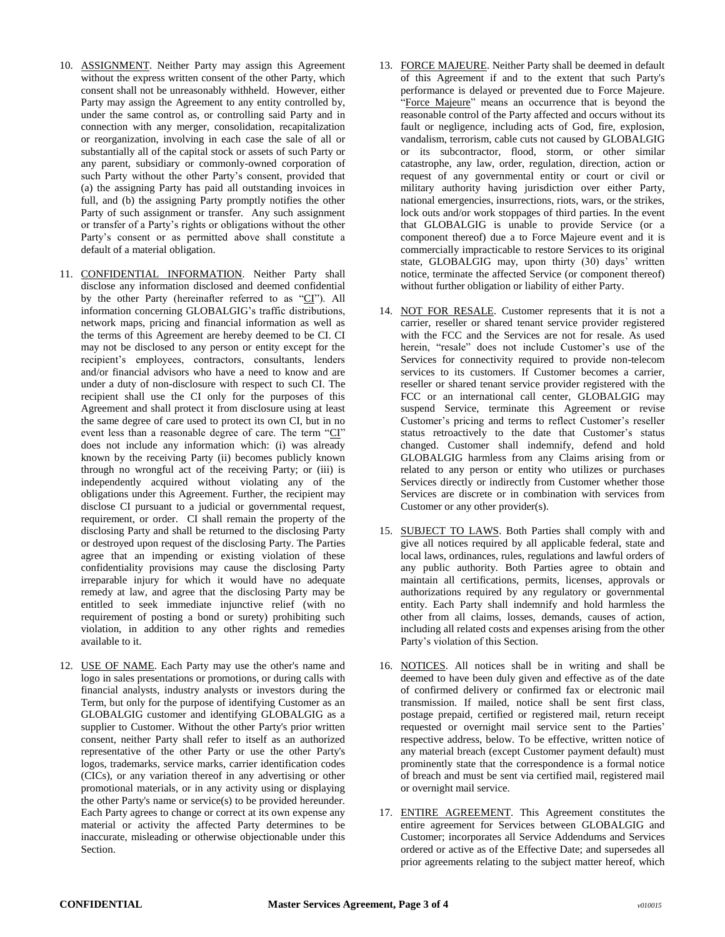- 10. ASSIGNMENT. Neither Party may assign this Agreement without the express written consent of the other Party, which consent shall not be unreasonably withheld. However, either Party may assign the Agreement to any entity controlled by, under the same control as, or controlling said Party and in connection with any merger, consolidation, recapitalization or reorganization, involving in each case the sale of all or substantially all of the capital stock or assets of such Party or any parent, subsidiary or commonly-owned corporation of such Party without the other Party's consent, provided that (a) the assigning Party has paid all outstanding invoices in full, and (b) the assigning Party promptly notifies the other Party of such assignment or transfer. Any such assignment or transfer of a Party's rights or obligations without the other Party's consent or as permitted above shall constitute a default of a material obligation.
- 11. CONFIDENTIAL INFORMATION. Neither Party shall disclose any information disclosed and deemed confidential by the other Party (hereinafter referred to as "CI"). All information concerning GLOBALGIG's traffic distributions, network maps, pricing and financial information as well as the terms of this Agreement are hereby deemed to be CI. CI may not be disclosed to any person or entity except for the recipient's employees, contractors, consultants, lenders and/or financial advisors who have a need to know and are under a duty of non-disclosure with respect to such CI. The recipient shall use the CI only for the purposes of this Agreement and shall protect it from disclosure using at least the same degree of care used to protect its own CI, but in no event less than a reasonable degree of care. The term "CI" does not include any information which: (i) was already known by the receiving Party (ii) becomes publicly known through no wrongful act of the receiving Party; or (iii) is independently acquired without violating any of the obligations under this Agreement. Further, the recipient may disclose CI pursuant to a judicial or governmental request, requirement, or order. CI shall remain the property of the disclosing Party and shall be returned to the disclosing Party or destroyed upon request of the disclosing Party. The Parties agree that an impending or existing violation of these confidentiality provisions may cause the disclosing Party irreparable injury for which it would have no adequate remedy at law, and agree that the disclosing Party may be entitled to seek immediate injunctive relief (with no requirement of posting a bond or surety) prohibiting such violation, in addition to any other rights and remedies available to it.
- 12. USE OF NAME. Each Party may use the other's name and logo in sales presentations or promotions, or during calls with financial analysts, industry analysts or investors during the Term, but only for the purpose of identifying Customer as an GLOBALGIG customer and identifying GLOBALGIG as a supplier to Customer. Without the other Party's prior written consent, neither Party shall refer to itself as an authorized representative of the other Party or use the other Party's logos, trademarks, service marks, carrier identification codes (CICs), or any variation thereof in any advertising or other promotional materials, or in any activity using or displaying the other Party's name or service(s) to be provided hereunder. Each Party agrees to change or correct at its own expense any material or activity the affected Party determines to be inaccurate, misleading or otherwise objectionable under this Section.
- 13. FORCE MAJEURE. Neither Party shall be deemed in default of this Agreement if and to the extent that such Party's performance is delayed or prevented due to Force Majeure. "Force Majeure" means an occurrence that is beyond the reasonable control of the Party affected and occurs without its fault or negligence, including acts of God, fire, explosion, vandalism, terrorism, cable cuts not caused by GLOBALGIG or its subcontractor, flood, storm, or other similar catastrophe, any law, order, regulation, direction, action or request of any governmental entity or court or civil or military authority having jurisdiction over either Party, national emergencies, insurrections, riots, wars, or the strikes, lock outs and/or work stoppages of third parties. In the event that GLOBALGIG is unable to provide Service (or a component thereof) due a to Force Majeure event and it is commercially impracticable to restore Services to its original state, GLOBALGIG may, upon thirty (30) days' written notice, terminate the affected Service (or component thereof) without further obligation or liability of either Party.
- 14. NOT FOR RESALE. Customer represents that it is not a carrier, reseller or shared tenant service provider registered with the FCC and the Services are not for resale. As used herein, "resale" does not include Customer's use of the Services for connectivity required to provide non-telecom services to its customers. If Customer becomes a carrier, reseller or shared tenant service provider registered with the FCC or an international call center, GLOBALGIG may suspend Service, terminate this Agreement or revise Customer's pricing and terms to reflect Customer's reseller status retroactively to the date that Customer's status changed. Customer shall indemnify, defend and hold GLOBALGIG harmless from any Claims arising from or related to any person or entity who utilizes or purchases Services directly or indirectly from Customer whether those Services are discrete or in combination with services from Customer or any other provider(s).
- 15. SUBJECT TO LAWS. Both Parties shall comply with and give all notices required by all applicable federal, state and local laws, ordinances, rules, regulations and lawful orders of any public authority. Both Parties agree to obtain and maintain all certifications, permits, licenses, approvals or authorizations required by any regulatory or governmental entity. Each Party shall indemnify and hold harmless the other from all claims, losses, demands, causes of action, including all related costs and expenses arising from the other Party's violation of this Section.
- 16. NOTICES. All notices shall be in writing and shall be deemed to have been duly given and effective as of the date of confirmed delivery or confirmed fax or electronic mail transmission. If mailed, notice shall be sent first class, postage prepaid, certified or registered mail, return receipt requested or overnight mail service sent to the Parties' respective address, below. To be effective, written notice of any material breach (except Customer payment default) must prominently state that the correspondence is a formal notice of breach and must be sent via certified mail, registered mail or overnight mail service.
- 17. ENTIRE AGREEMENT. This Agreement constitutes the entire agreement for Services between GLOBALGIG and Customer; incorporates all Service Addendums and Services ordered or active as of the Effective Date; and supersedes all prior agreements relating to the subject matter hereof, which